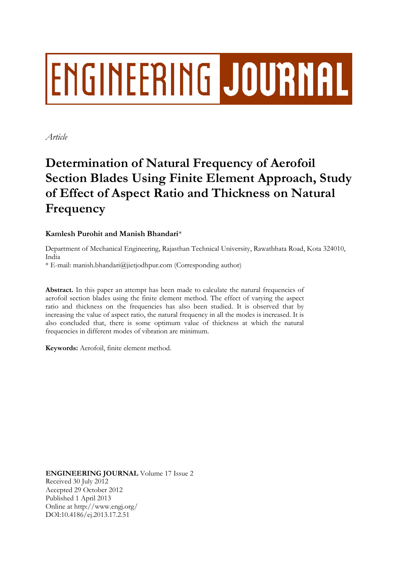# ENGINEERING JOURNAL

*Article*

# **Determination of Natural Frequency of Aerofoil Section Blades Using Finite Element Approach, Study of Effect of Aspect Ratio and Thickness on Natural Frequency**

# **Kamlesh Purohit and Manish Bhandari**\*

Department of Mechanical Engineering, Rajasthan Technical University, Rawatbhata Road, Kota 324010, India

\* E-mail: manish.bhandari@jietjodhpur.com (Corresponding author)

Abstract. In this paper an attempt has been made to calculate the natural frequencies of aerofoil section blades using the finite element method. The effect of varying the aspect ratio and thickness on the frequencies has also been studied. It is observed that by increasing the value of aspect ratio, the natural frequency in all the modes is increased. It is also concluded that, there is some optimum value of thickness at which the natural frequencies in different modes of vibration are minimum.

**Keywords:** Aerofoil, finite element method.

**ENGINEERING JOURNAL** Volume 17 Issue 2 Received 30 July 2012 Accepted 29 October 2012 Published 1 April 2013 Online at http://www.engj.org/ DOI:10.4186/ej.2013.17.2.51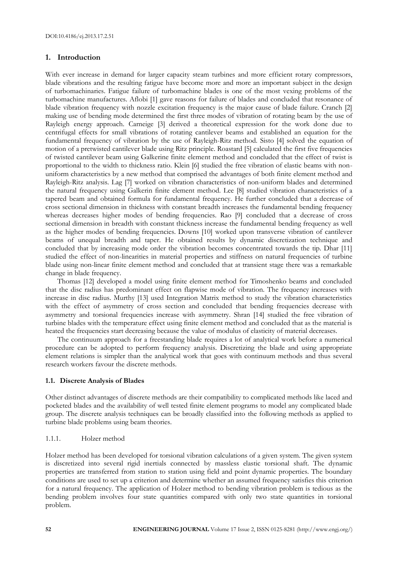# **1. Introduction**

With ever increase in demand for larger capacity steam turbines and more efficient rotary compressors, blade vibrations and the resulting fatigue have become more and more an important subject in the design of turbomachinaries. Fatigue failure of turbomachine blades is one of the most vexing problems of the turbomachine manufactures. Aflobi [1] gave reasons for failure of blades and concluded that resonance of blade vibration frequency with nozzle excitation frequency is the major cause of blade failure. Cranch [2] making use of bending mode determined the first three modes of vibration of rotating beam by the use of Rayleigh energy approach. Carneige [3] derived a theoretical expression for the work done due to centrifugal effects for small vibrations of rotating cantilever beams and established an equation for the fundamental frequency of vibration by the use of Rayleigh-Ritz method. Sisto [4] solved the equation of motion of a pretwisted cantilever blade using Ritz principle. Roastard [5] calculated the first five frequencies of twisted cantilever beam using Galkerine finite element method and concluded that the effect of twist is proportional to the width to thickness ratio. Klein [6] studied the free vibration of elastic beams with nonuniform characteristics by a new method that comprised the advantages of both finite element method and Rayleigh-Ritz analysis. Lag [7] worked on vibration characteristics of non-uniform blades and determined the natural frequency using Galkerin finite element method. Lee [8] studied vibration characteristics of a tapered beam and obtained formula for fundamental frequency. He further concluded that a decrease of cross sectional dimension in thickness with constant breadth increases the fundamental bending frequency whereas decreases higher modes of bending frequencies. Rao [9] concluded that a decrease of cross sectional dimension in breadth with constant thickness increase the fundamental bending frequency as well as the higher modes of bending frequencies. Downs [10] worked upon transverse vibration of cantilever beams of unequal breadth and taper. He obtained results by dynamic discretization technique and concluded that by increasing mode order the vibration becomes concentrated towards the tip. Dhar [11] studied the effect of non-linearities in material properties and stiffness on natural frequencies of turbine blade using non-linear finite element method and concluded that at transient stage there was a remarkable change in blade frequency.

Thomas [12] developed a model using finite element method for Timoshenko beams and concluded that the disc radius has predominant effect on flapwise mode of vibration. The frequency increases with increase in disc radius. Murthy [13] used Integration Matrix method to study the vibration characteristics with the effect of asymmetry of cross section and concluded that bending frequencies decrease with asymmetry and torsional frequencies increase with asymmetry. Shran [14] studied the free vibration of turbine blades with the temperature effect using finite element method and concluded that as the material is heated the frequencies start decreasing because the value of modulus of elasticity of material decreases.

The continuum approach for a freestanding blade requires a lot of analytical work before a numerical procedure can be adopted to perform frequency analysis. Discretizing the blade and using appropriate element relations is simpler than the analytical work that goes with continuum methods and thus several research workers favour the discrete methods.

# **1.1. Discrete Analysis of Blades**

Other distinct advantages of discrete methods are their compatibility to complicated methods like laced and pocketed blades and the availability of well tested finite element programs to model any complicated blade group. The discrete analysis techniques can be broadly classified into the following methods as applied to turbine blade problems using beam theories.

# 1.1.1. Holzer method

Holzer method has been developed for torsional vibration calculations of a given system. The given system is discretized into several rigid inertials connected by massless elastic torsional shaft. The dynamic properties are transferred from station to station using field and point dynamic properties. The boundary conditions are used to set up a criterion and determine whether an assumed frequency satisfies this criterion for a natural frequency. The application of Holzer method to bending vibration problem is tedious as the bending problem involves four state quantities compared with only two state quantities in torsional problem.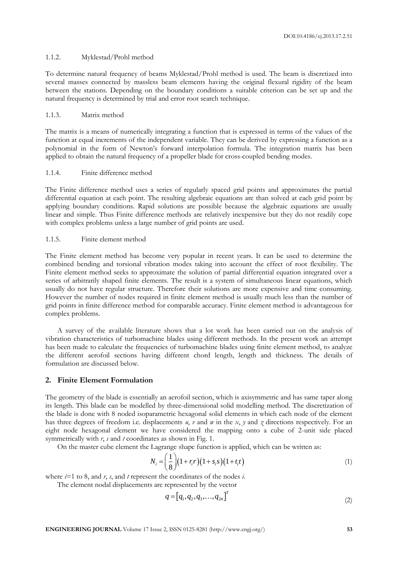#### 1.1.2. Myklestad/Prohl method

To determine natural frequency of beams Myklestad/Prohl method is used. The beam is discretized into several masses connected by massless beam elements having the original flexural rigidity of the beam between the stations. Depending on the boundary conditions a suitable criterion can be set up and the natural frequency is determined by trial and error root search technique.

#### 1.1.3. Matrix method

The matrix is a means of numerically integrating a function that is expressed in terms of the values of the function at equal increments of the independent variable. They can be derived by expressing a function as a polynomial in the form of Newton's forward interpolation formula. The integration matrix has been applied to obtain the natural frequency of a propeller blade for cross-coupled bending modes.

#### 1.1.4. Finite difference method

The Finite difference method uses a series of regularly spaced grid points and approximates the partial differential equation at each point. The resulting algebraic equations are than solved at each grid point by applying boundary conditions. Rapid solutions are possible because the algebraic equations are usually linear and simple. Thus Finite difference methods are relatively inexpensive but they do not readily cope with complex problems unless a large number of grid points are used.

# 1.1.5. Finite element method

The Finite element method has become very popular in recent years. It can be used to determine the combined bending and torsional vibration modes taking into account the effect of root flexibility. The Finite element method seeks to approximate the solution of partial differential equation integrated over a series of arbitrarily shaped finite elements. The result is a system of simultaneous linear equations, which usually do not have regular structure. Therefore their solutions are more expensive and time consuming. However the number of nodes required in finite element method is usually much less than the number of grid points in finite difference method for comparable accuracy. Finite element method is advantageous for complex problems.

A survey of the available literature shows that a lot work has been carried out on the analysis of vibration characteristics of turbomachine blades using different methods. In the present work an attempt has been made to calculate the frequencies of turbomachine blades using finite element method, to analyze the different aerofoil sections having different chord length, length and thickness. The details of formulation are discussed below.

#### **2. Finite Element Formulation**

The geometry of the blade is essentially an aerofoil section, which is axisymmetric and has same taper along its length. This blade can be modelled by three-dimensional solid modelling method. The discretization of the blade is done with 8 noded isoparametric hexagonal solid elements in which each node of the element has three degrees of freedom i.e. displacements *u*, *v* and *w* in the *x*, *y* and *z* directions respectively. For an eight node hexagonal element we have considered the mapping onto a cube of 2-unit side placed symmetrically with *r*, *s* and *t* coordinates as shown in Fig. 1.

On the master cube element the Lagrange shape function is applied, which can be written as:<br> $N = \frac{1}{2} (1 + \kappa r)(1 + \kappa s)(1 + t)$ 

$$
N_i = \left(\frac{1}{8}\right)(1 + r_i r)(1 + s_i s)(1 + t_i t)
$$
\n(1)

where *i*=1 to 8, and *r*, *s*, and *t* represent the coordinates of the nodes *i*.

The element nodal displacements are represented by the vector

$$
q = [q_1, q_2, q_3, \dots, q_{24}]^T
$$
 (2)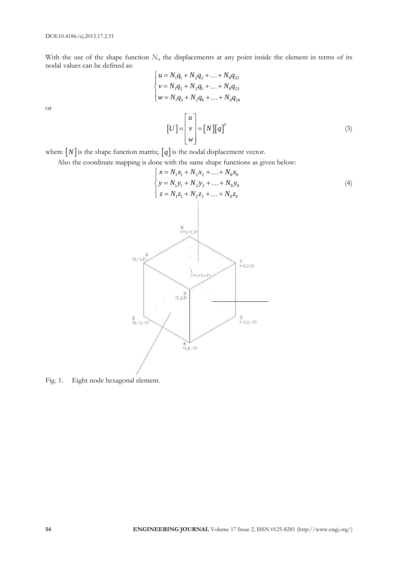With the use of the shape function  $N_i$ , the displacements at any point inside the element in terms of its nodal values can be defined as:

$$
\begin{cases}\n u = N_1 q_1 + N_2 q_2 + \dots + N_8 q_{22} \\
 v = N_1 q_2 + N_2 q_5 + \dots + N_8 q_{23} \\
 w = N_1 q_3 + N_2 q_6 + \dots + N_8 q_{24}\n\end{cases}
$$
\n
$$
\begin{bmatrix}\n U \end{bmatrix} = \begin{bmatrix}\n u \\
 v \\
 w\n\end{bmatrix} = [N][q]^T
$$
\n(3)

or

where  $[N]$  is the shape function matrix;  $[q]$  is the nodal displacement vector.

Also the coordinate mapping is done with the same shape functions as given below:



Fig. 1. Eight node hexagonal element.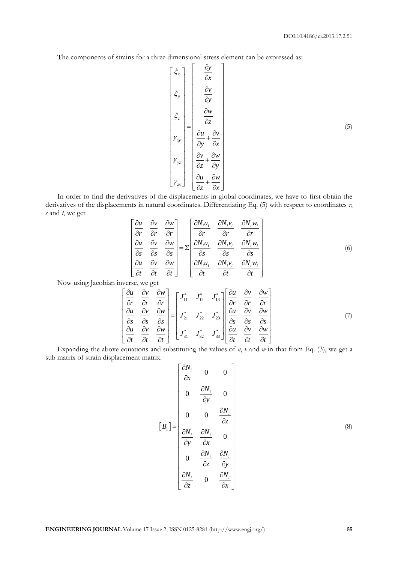The components of strains for a three dimensional stress element can be expressed as:

$$
\begin{bmatrix}\n\xi_x \\
\xi_y \\
\xi_z \\
\vdots \\
\eta_x\n\end{bmatrix} = \begin{bmatrix}\n\frac{\partial y}{\partial x} \\
\frac{\partial y}{\partial y} \\
\frac{\partial w}{\partial z} \\
\frac{\partial w}{\partial y} + \frac{\partial v}{\partial x} \\
\frac{\partial w}{\partial z} + \frac{\partial w}{\partial y} \\
\eta_x\n\end{bmatrix}
$$
\n(5)

In order to find the derivatives of the displacements in global coordinates, we have to first obtain the derivatives of the displacements in natural coordinates. Differentiating Eq. (5) with respect to coordinates *r*, *s* and *t*, we get

$$
\begin{bmatrix}\n\frac{\partial u}{\partial r} & \frac{\partial v}{\partial r} & \frac{\partial w}{\partial r} \\
\frac{\partial u}{\partial s} & \frac{\partial v}{\partial s} & \frac{\partial w}{\partial s} \\
\frac{\partial u}{\partial t} & \frac{\partial v}{\partial t} & \frac{\partial w}{\partial t}\n\end{bmatrix} = \Sigma \begin{bmatrix}\n\frac{\partial N_i u_i}{\partial r} & \frac{\partial N_i v_i}{\partial r} & \frac{\partial N_i w_i}{\partial r} \\
\frac{\partial N_i u_i}{\partial s} & \frac{\partial N_i v_i}{\partial s} & \frac{\partial N_i w_i}{\partial s} \\
\frac{\partial u}{\partial t} & \frac{\partial v}{\partial t} & \frac{\partial w}{\partial t}\n\end{bmatrix}
$$
\n(6)

Now using Jacobian inverse, we get

verse, we get  
\n
$$
\begin{bmatrix}\n\frac{\partial u}{\partial r} & \frac{\partial v}{\partial r} & \frac{\partial w}{\partial r} \\
\frac{\partial u}{\partial s} & \frac{\partial v}{\partial s} & \frac{\partial w}{\partial s} \\
\frac{\partial u}{\partial t} & \frac{\partial v}{\partial t} & \frac{\partial w}{\partial t}\n\end{bmatrix} = \begin{bmatrix}\nJ_{11}^* & J_{12}^* & J_{13}^* \\
J_{21}^* & J_{22}^* & J_{23}^* \\
J_{31}^* & J_{32}^* & J_{33}^*\n\end{bmatrix} \begin{bmatrix}\n\frac{\partial u}{\partial r} & \frac{\partial v}{\partial r} & \frac{\partial w}{\partial r} \\
\frac{\partial u}{\partial s} & \frac{\partial v}{\partial s} & \frac{\partial w}{\partial s} \\
\frac{\partial u}{\partial t} & \frac{\partial v}{\partial t} & \frac{\partial w}{\partial t}\n\end{bmatrix}
$$
\n(7)

Expanding the above equations and substituting the values of  $u$ ,  $v$  and  $w$  in that from Eq. (3), we get a sub matrix of strain displacement matrix.

$$
\begin{bmatrix}\n\frac{\partial N_i}{\partial x} & 0 & 0 \\
0 & \frac{\partial N_i}{\partial y} & 0 \\
0 & 0 & \frac{\partial N_i}{\partial z} \\
\frac{\partial N_i}{\partial y} & \frac{\partial N_i}{\partial x} & 0 \\
0 & \frac{\partial N_i}{\partial z} & \frac{\partial N_i}{\partial y} \\
0 & \frac{\partial N_i}{\partial z} & 0 & \frac{\partial N_i}{\partial x}\n\end{bmatrix}
$$
\n(8)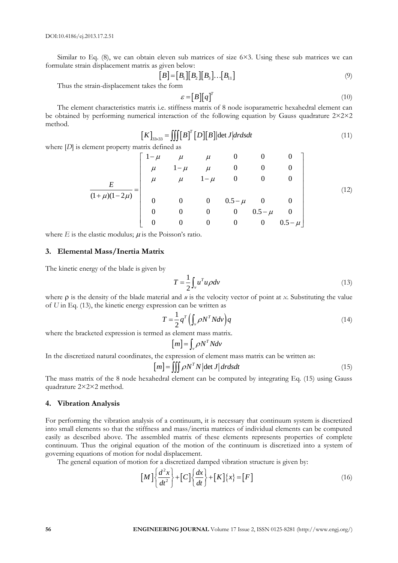Similar to Eq.  $(8)$ , we can obtain eleven sub matrices of size  $6\times3$ . Using these sub matrices we can formulate strain displacement matrix as given below:

$$
\begin{bmatrix} B \\ \end{bmatrix} = [B_1][B_2][B_3] \dots [B_{11}] \tag{9}
$$

Thus the strain-displacement takes the form

$$
\mathcal{E} = [B][q]^T \tag{10}
$$

The element characteristics matrix i.e. stiffness matrix of 8 node isoparametric hexahedral element can be obtained by performing numerical interaction of the following equation by Gauss quadrature 2×2×2 method.

$$
[K]_{33\times 33} = \iiint [B]^T [D][B]| \det J| dr ds dt
$$
\n
$$
\begin{bmatrix}\n1-\mu & \mu & 0 & 0 & 0 \\
1-\mu & \mu & \mu & 0 & 0\n\end{bmatrix}
$$
\n(11)

where [*D*] is element property matrix defined as

ement property matrix defined as

\n
$$
\frac{E}{(1+\mu)(1-2\mu)} = \begin{bmatrix}\n1-\mu & \mu & \mu & 0 & 0 & 0 \\
\mu & 1-\mu & \mu & 0 & 0 & 0 \\
\mu & \mu & 1-\mu & 0 & 0 & 0 \\
0 & 0 & 0 & 0.5-\mu & 0 & 0 \\
0 & 0 & 0 & 0 & 0.5-\mu & 0 \\
0 & 0 & 0 & 0 & 0 & 0.5-\mu\n\end{bmatrix}
$$
\n(12)

where  $E$  is the elastic modulus;  $\mu$  is the Poisson's ratio.

#### **3. Elemental Mass/Inertia Matrix**

The kinetic energy of the blade is given by

$$
T = \frac{1}{2} \int_{v} u^{T} u \rho dv
$$
 (13)

where  $\rho$  is the density of the blade material and  $\mu$  is the velocity vector of point at *x*. Substituting the value of *U* in Eq. (13), the kinetic energy expression can be written as

$$
T = \frac{1}{2} q^T \left( \int_{\nu} \rho N^T N d\nu \right) q \tag{14}
$$

where the bracketed expression is termed as element mass matrix.

$$
[m] = \int_{v} \rho N^{T} N dv
$$

In the discretized natural coordinates, the expression of element mass matrix can be written as:<br> $[m] = \iiint \rho N^T N |\det J| dr ds dt$ 

$$
[m] = \iiint \rho N^T N |\det J| dr ds dt
$$
 (15)

The mass matrix of the 8 node hexahedral element can be computed by integrating Eq. (15) using Gauss quadrature 2×2×2 method.

#### **4. Vibration Analysis**

For performing the vibration analysis of a continuum, it is necessary that continuum system is discretized into small elements so that the stiffness and mass/inertia matrices of individual elements can be computed easily as described above. The assembled matrix of these elements represents properties of complete continuum. Thus the original equation of the motion of the continuum is discretized into a system of governing equations of motion for nodal displacement.

The general equation of motion for a discretized damped vibration structure is given by:  
\n
$$
\left[M\right] \left\{\frac{d^2x}{dt^2}\right\} + \left[C\right] \left\{\frac{dx}{dt}\right\} + \left[K\right] \left\{x\right\} = \left[F\right]
$$
\n(16)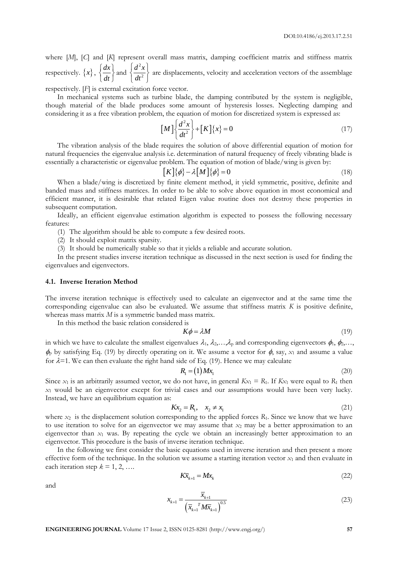where [M], [C] and [K] represent overall mass matrix, damping coefficient matrix and stiffness matrix respectively.  $\{x\}$ ,  $\{\frac{dx}{dx}\}$  $\left\{\frac{dx}{dt}\right\}$  and 2 2  $d^2x$  $\left\{\frac{d^2x}{dt^2}\right\}$ are displacements, velocity and acceleration vectors of the assemblage

respectively. [*F*] is external excitation force vector.

In mechanical systems such as turbine blade, the damping contributed by the system is negligible, though material of the blade produces some amount of hysteresis losses. Neglecting damping and considering it as a free vibration problem, the equation of motion for discretized system is expressed as:

$$
\left[M\right]\left\{\frac{d^2x}{dt^2}\right\} + \left[K\right]\left\{x\right\} = 0\tag{17}
$$

The vibration analysis of the blade requires the solution of above differential equation of motion for natural frequencies the eigenvalue analysis i.e. determination of natural frequency of freely vibrating blade is essentially a characteristic or eigenvalue problem. The equation of motion of blade/wing is given by:

$$
[K]\{\phi\} - \lambda [M]\{\phi\} = 0
$$
\n(18)

When a blade/wing is discretized by finite element method, it yield symmetric, positive, definite and banded mass and stiffness matrices. In order to be able to solve above equation in most economical and efficient manner, it is desirable that related Eigen value routine does not destroy these properties in subsequent computation.

Ideally, an efficient eigenvalue estimation algorithm is expected to possess the following necessary features:

(1) The algorithm should be able to compute a few desired roots.

(2) It should exploit matrix sparsity.

(3) It should be numerically stable so that it yields a reliable and accurate solution.

In the present studies inverse iteration technique as discussed in the next section is used for finding the eigenvalues and eigenvectors.

#### **4.1. Inverse Iteration Method**

The inverse iteration technique is effectively used to calculate an eigenvector and at the same time the corresponding eigenvalue can also be evaluated. We assume that stiffness matrix *K* is positive definite, whereas mass matrix *M* is a symmetric banded mass matrix.

In this method the basic relation considered is

$$
K\phi = \lambda M \tag{19}
$$

in which we have to calculate the smallest eigenvalues  $\lambda_1, \lambda_2, \ldots, \lambda_p$  and corresponding eigenvectors  $\phi_1, \phi_2, \ldots, \phi_p$  $\phi$  by satisfying Eq. (19) by directly operating on it. We assume a vector for  $\phi$ , say,  $x_1$  and assume a value for  $\lambda$ =1. We can then evaluate the right hand side of Eq. (19). Hence we may calculate

$$
R_1 = (1)Mx_1 \tag{20}
$$

Since  $x_1$  is an arbitrarily assumed vector, we do not have, in general  $Kx_1 = R_1$ . If  $Kx_1$  were equal to  $R_1$  then *x*<sup>1</sup> would be an eigenvector except for trivial cases and our assumptions would have been very lucky. Instead, we have an equilibrium equation as:

$$
Kx_2 = R_1, \quad x_2 \neq x_1 \tag{21}
$$

where  $x_2$  is the displacement solution corresponding to the applied forces  $R_1$ . Since we know that we have to use iteration to solve for an eigenvector we may assume that *x*<sup>2</sup> may be a better approximation to an eigenvector than  $x_1$  was. By repeating the cycle we obtain an increasingly better approximation to an eigenvector. This procedure is the basis of inverse iteration technique.

In the following we first consider the basic equations used in inverse iteration and then present a more effective form of the technique. In the solution we assume a starting iteration vector *x*<sup>1</sup> and then evaluate in each iteration step  $k = 1, 2, \ldots$ 

$$
K\overline{x}_{k+1} = Mx_k \tag{22}
$$

and

$$
x_{k+1} = \frac{\overline{x}_{k+1}}{\left(\overline{x}_{k+1}^T M \overline{x}_{k+1}\right)^{0.5}}
$$
(23)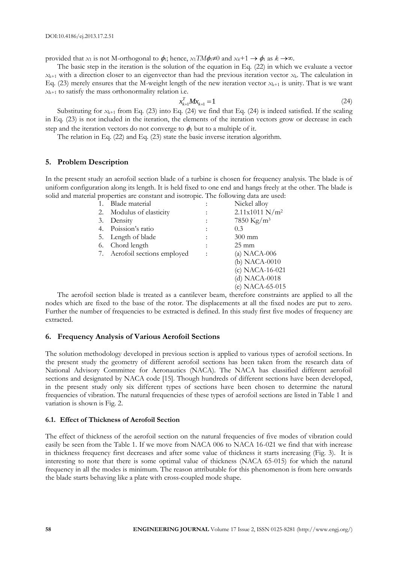provided that *x*<sub>1</sub> is not M-orthogonal to  $\phi_1$ ; hence, *x*<sub>1</sub>*TM* $\phi_1 \neq 0$  and *x*<sup> $k$ +1  $\rightarrow \phi_1$  as  $k \rightarrow \infty$ .</sup>

The basic step in the iteration is the solution of the equation in Eq. (22) in which we evaluate a vector  $x_{k+1}$  with a direction closer to an eigenvector than had the previous iteration vector  $x_k$ . The calculation in Eq. (23) merely ensures that the M-weight length of the new iteration vector  $x_{k+1}$  is unity. That is we want  $x_{k+1}$  to satisfy the mass orthonormality relation i.e.

$$
x_{k+1}^T M x_{k+1} = 1 \tag{24}
$$

Substituting for  $x_{k+1}$  from Eq. (23) into Eq. (24) we find that Eq. (24) is indeed satisfied. If the scaling in Eq. (23) is not included in the iteration, the elements of the iteration vectors grow or decrease in each step and the iteration vectors do not converge to  $\phi_1$  but to a multiple of it.

The relation in Eq. (22) and Eq. (23) state the basic inverse iteration algorithm.

#### **5. Problem Description**

In the present study an aerofoil section blade of a turbine is chosen for frequency analysis. The blade is of uniform configuration along its length. It is held fixed to one end and hangs freely at the other. The blade is solid and material properties are constant and isotropic. The following data are used:

| 1. | Blade material                |                | Nickel alloy           |
|----|-------------------------------|----------------|------------------------|
| 2. | Modulus of elasticity         |                | $2.11x1011 N/m^2$      |
| 3. | Density                       | $\ddot{\cdot}$ | 7850 Kg/m <sup>3</sup> |
| 4. | Poission's ratio              | $\ddot{\cdot}$ | 0.3                    |
| 5. | Length of blade               | $\ddot{\cdot}$ | $300 \text{ mm}$       |
| 6. | Chord length                  |                | $25 \text{ mm}$        |
|    | 7. Aerofoil sections employed | $\vdots$       | (a) NACA-006           |
|    |                               |                | (b) NACA-0010          |
|    |                               |                | $(c) NACA-16-021$      |
|    |                               |                | $(d) NACA-0018$        |
|    |                               |                | (e) NACA-65-015        |
|    |                               |                |                        |

The aerofoil section blade is treated as a cantilever beam, therefore constraints are applied to all the nodes which are fixed to the base of the rotor. The displacements at all the fixed nodes are put to zero. Further the number of frequencies to be extracted is defined. In this study first five modes of frequency are extracted.

#### **6. Frequency Analysis of Various Aerofoil Sections**

The solution methodology developed in previous section is applied to various types of aerofoil sections. In the present study the geometry of different aerofoil sections has been taken from the research data of National Advisory Committee for Aeronautics (NACA). The NACA has classified different aerofoil sections and designated by NACA code [15]. Though hundreds of different sections have been developed, in the present study only six different types of sections have been chosen to determine the natural frequencies of vibration. The natural frequencies of these types of aerofoil sections are listed in Table 1 and variation is shown is Fig. 2.

#### **6.1. Effect of Thickness of Aerofoil Section**

The effect of thickness of the aerofoil section on the natural frequencies of five modes of vibration could easily be seen from the Table 1. If we move from NACA 006 to NACA 16-021 we find that with increase in thickness frequency first decreases and after some value of thickness it starts increasing (Fig. 3). It is interesting to note that there is some optimal value of thickness (NACA 65-015) for which the natural frequency in all the modes is minimum. The reason attributable for this phenomenon is from here onwards the blade starts behaving like a plate with cross-coupled mode shape.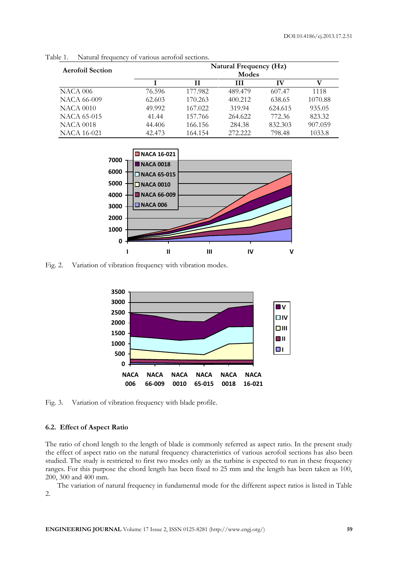| <b>Aerofoil Section</b> | <b>Natural Frequency (Hz)</b> |         |         |         |         |  |  |
|-------------------------|-------------------------------|---------|---------|---------|---------|--|--|
|                         | Modes                         |         |         |         |         |  |  |
|                         |                               | Н       | Ш       | IV      | V       |  |  |
| <b>NACA 006</b>         | 76.596                        | 177.982 | 489.479 | 607.47  | 1118    |  |  |
| <b>NACA 66-009</b>      | 62.603                        | 170.263 | 400.212 | 638.65  | 1070.88 |  |  |
| <b>NACA 0010</b>        | 49.992                        | 167.022 | 319.94  | 624.615 | 935.05  |  |  |
| NACA 65-015             | 41.44                         | 157.766 | 264.622 | 772.36  | 823.32  |  |  |
| <b>NACA 0018</b>        | 44.406                        | 166.156 | 284.38  | 832.303 | 907.059 |  |  |
| <b>NACA 16-021</b>      | 42.473                        | 164.154 | 272.222 | 798.48  | 1033.8  |  |  |

Table 1. Natural frequency of various aerofoil sections.



Fig. 2. Variation of vibration frequency with vibration modes.



Fig. 3. Variation of vibration frequency with blade profile.

### **6.2. Effect of Aspect Ratio**

The ratio of chord length to the length of blade is commonly referred as aspect ratio. In the present study the effect of aspect ratio on the natural frequency characteristics of various aerofoil sections has also been studied. The study is restricted to first two modes only as the turbine is expected to run in these frequency ranges. For this purpose the chord length has been fixed to 25 mm and the length has been taken as 100, 200, 300 and 400 mm.

The variation of natural frequency in fundamental mode for the different aspect ratios is listed in Table 2.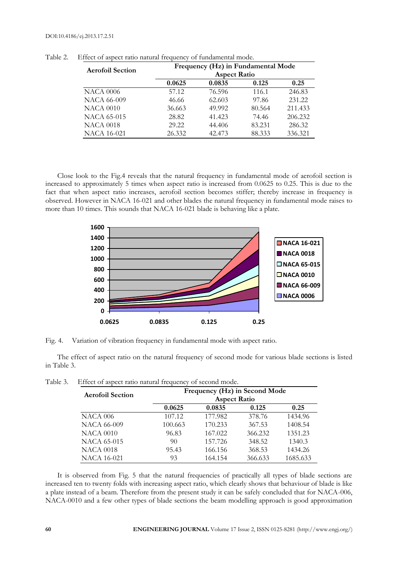#### DOI:10.4186/ej.2013.17.2.51

| <b>Aerofoil Section</b> | Frequency (Hz) in Fundamental Mode<br><b>Aspect Ratio</b> |        |        |         |  |
|-------------------------|-----------------------------------------------------------|--------|--------|---------|--|
|                         | 0.0625                                                    | 0.0835 | 0.125  | 0.25    |  |
| <b>NACA 0006</b>        | 57.12                                                     | 76.596 | 116.1  | 246.83  |  |
| <b>NACA 66-009</b>      | 46.66                                                     | 62.603 | 97.86  | 231.22  |  |
| <b>NACA 0010</b>        | 36.663                                                    | 49.992 | 80.564 | 211.433 |  |
| <b>NACA 65-015</b>      | 28.82                                                     | 41.423 | 74.46  | 206.232 |  |
| <b>NACA 0018</b>        | 29.22                                                     | 44.406 | 83.231 | 286.32  |  |
| <b>NACA 16-021</b>      | 26.332                                                    | 42.473 | 88.333 | 336.321 |  |

Table 2. Effect of aspect ratio natural frequency of fundamental mode.

Close look to the Fig.4 reveals that the natural frequency in fundamental mode of aerofoil section is increased to approximately 5 times when aspect ratio is increased from 0.0625 to 0.25. This is due to the fact that when aspect ratio increases, aerofoil section becomes stiffer; thereby increase in frequency is observed. However in NACA 16-021 and other blades the natural frequency in fundamental mode raises to more than 10 times. This sounds that NACA 16-021 blade is behaving like a plate.



Fig. 4. Variation of vibration frequency in fundamental mode with aspect ratio.

The effect of aspect ratio on the natural frequency of second mode for various blade sections is listed in Table 3.

| <b>Aerofoil Section</b> | Frequency (Hz) in Second Mode<br><b>Aspect Ratio</b> |         |         |          |
|-------------------------|------------------------------------------------------|---------|---------|----------|
|                         | 0.0625                                               | 0.0835  | 0.125   | 0.25     |
| <b>NACA 006</b>         | 107.12                                               | 177.982 | 378.76  | 1434.96  |
| <b>NACA 66-009</b>      | 100.663                                              | 170.233 | 367.53  | 1408.54  |
| <b>NACA 0010</b>        | 96.83                                                | 167.022 | 366.232 | 1351.23  |
| NACA 65-015             | 90                                                   | 157.726 | 348.52  | 1340.3   |
| <b>NACA 0018</b>        | 95.43                                                | 166.156 | 368.53  | 1434.26  |
| <b>NACA 16-021</b>      | 93                                                   | 164.154 | 366.633 | 1685.633 |

| Table 3. |  | Effect of aspect ratio natural frequency of second mode. |  |  |
|----------|--|----------------------------------------------------------|--|--|
|          |  |                                                          |  |  |

It is observed from Fig. 5 that the natural frequencies of practically all types of blade sections are increased ten to twenty folds with increasing aspect ratio, which clearly shows that behaviour of blade is like a plate instead of a beam. Therefore from the present study it can be safely concluded that for NACA-006, NACA-0010 and a few other types of blade sections the beam modelling approach is good approximation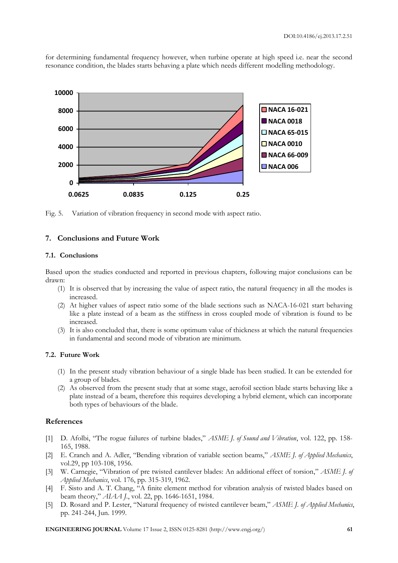for determining fundamental frequency however, when turbine operate at high speed i.e. near the second resonance condition, the blades starts behaving a plate which needs different modelling methodology.



Fig. 5. Variation of vibration frequency in second mode with aspect ratio.

#### **7. Conclusions and Future Work**

#### **7.1. Conclusions**

Based upon the studies conducted and reported in previous chapters, following major conclusions can be drawn:

- (1) It is observed that by increasing the value of aspect ratio, the natural frequency in all the modes is increased.
- (2) At higher values of aspect ratio some of the blade sections such as NACA-16-021 start behaving like a plate instead of a beam as the stiffness in cross coupled mode of vibration is found to be increased.
- (3) It is also concluded that, there is some optimum value of thickness at which the natural frequencies in fundamental and second mode of vibration are minimum.

#### **7.2. Future Work**

- (1) In the present study vibration behaviour of a single blade has been studied. It can be extended for a group of blades.
- (2) As observed from the present study that at some stage, aerofoil section blade starts behaving like a plate instead of a beam, therefore this requires developing a hybrid element, which can incorporate both types of behaviours of the blade.

# **References**

- [1] D. Afolbi, "The rogue failures of turbine blades," *ASME J. of Sound and Vibration*, vol. 122, pp. 158- 165, 1988.
- [2] E. Cranch and A. Adler, "Bending vibration of variable section beams," *ASME J. of Applied Mechanics*, vol.29, pp 103-108, 1956.
- [3] W. Carnegie, "Vibration of pre twisted cantilever blades: An additional effect of torsion," *ASME J. of Applied Mechanics*, vol. 176, pp. 315-319, 1962.
- [4] F. Sisto and A. T. Chang, "A finite element method for vibration analysis of twisted blades based on beam theory," *AIAA J.*, vol. 22, pp. 1646-1651, 1984.
- [5] D. Rosard and P. Lester, "Natural frequency of twisted cantilever beam," *ASME J. of Applied Mechanics*, pp. 241-244, Jun. 1999.

**ENGINEERING JOURNAL** Volume 17 Issue 2, ISSN 0125-8281 (http://www.engj.org/) **61**